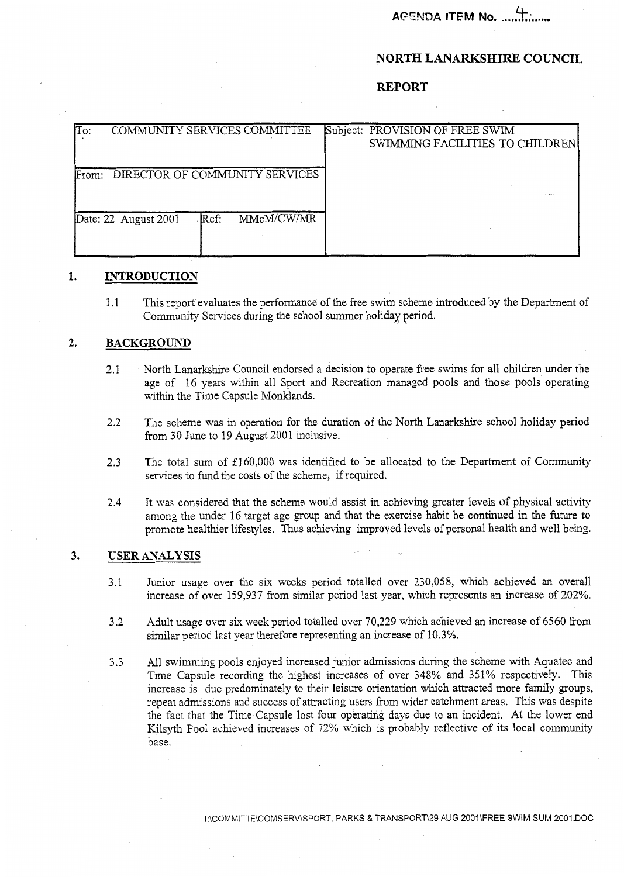**AG5NDA ITEM No. ...........**.

## **NORTH LANARKSHIRE COUNCIL**

## **REPORT**

| To:   |                                | COMMUNITY SERVICES COMMITTEE |  | Subject: PROVISION OF FREE SWIM |  |
|-------|--------------------------------|------------------------------|--|---------------------------------|--|
|       |                                |                              |  | SWIMMING FACILITIES TO CHILDREN |  |
|       |                                |                              |  |                                 |  |
| From: | DIRECTOR OF COMMUNITY SERVICES |                              |  |                                 |  |
|       |                                |                              |  |                                 |  |
|       |                                |                              |  |                                 |  |
|       | Date: 22 August 2001           | MMcM/CW/MR<br>Ref:           |  |                                 |  |
|       |                                |                              |  |                                 |  |
|       |                                |                              |  |                                 |  |

### **1. INTRODUCTION**

1.1 This report evaluates the performance of the free swim scheme introduced by the Department of Community Services during the school summer holiday period.

### **2. BACKGROUND**

- 2.1 North Lanarkshire Council endorsed a decision to operate free swims for all children under the age of 16 years within all Sport and Recreation managed pools and those pools operating within the Time Capsule Monklands.
- 2.2 The scheme was in operation for the duration of the North Lanarkshire school holiday period from 30 June to 19 August 2001 inclusive.
- 2.3 The total sum of £160,000 was identified to be allocated to the Department of Community services to fund the costs of the scheme, if required.
- 2.4 It was considered that the scheme would assist in achieving greater levels of physical activity among the under 16 target age group and that the exercise habit be continued in the future to promote healthier lifestyles. Thus achieving improved levels of personal health and well being.

# 3. USER ANALYSIS

- 3.1 Junior usage over the six weeks period totalled over 230,058, which achieved an overall increase of over 159,937 from similar period last year, which represents an increase of 202%.
- 3.2 Adult usage over six week period totalled over 70,229 which achieved an increase of 6560 from similar period last year therefore representing an increase of 10.3%.
- 3.3 All swimming pools enjoyed increased junior admissions during the scheme with Aquatec and Time Capsule recording the highest increases of over 348% and 351% respectively. This increase is due predominately to their leisure orientation which attracted more family groups, repeat admissions and success of attracting users from wider catchment areas. This was despite the fact that the Time Capsule lost four operating days due to an incident. At the lower end Kilsyth Pool achieved increases of 72% which is probably reflective of its local community base.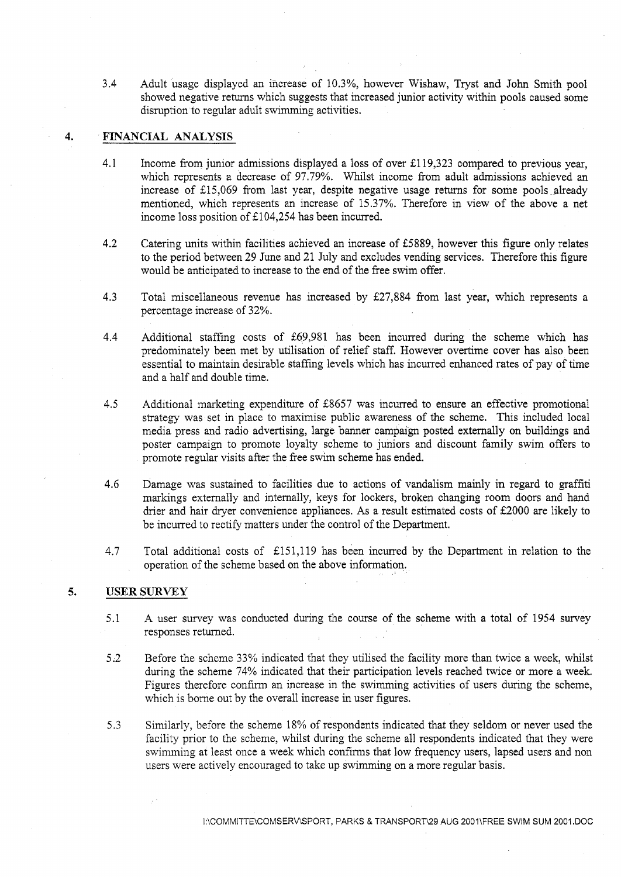3.4 Adult usage displayed an increase of 10.3%, however Wishaw, Tryst and John Smith pool showed negative returns which suggests that increased junior activity within pools caused some disruption to regular adult swimming activities.

## **4. FINANCIAL** *ANAEY* **SIS**

- 4.1 Income from junior admissions displayed a loss of over **El** 19,323 compared to previous year, which represents a decrease of 97.79%. Whilst income from adult admissions achieved an increase of 215,069 from last year, despite negative usage returns for some pools already mentioned, which represents an increase of 15.37%. Therefore in view of the above a net income loss position of &I 04,254 has been incurred.
- 4.2 Catering units within facilities achieved an increase of E5889, however this figure only relates to the period between 29 June and 21 July and excludes vending services. Therefore this figure would be anticipated to increase to the end of the free swim offer.
- 4.3 Total miscellaneous revenue has increased by E27,884 from last year, which represents a percentage increase of 32%.
- 4.4 Additional staffing costs of \$69,981 has been incurred during the scheme which has predominately been met by utilisation of relief staff. However overtime cover has also been essential to maintain desirable staffing levels which has incurred enhanced rates of pay of time and a half and double time.
- 4.5 Additional marketing expenditure of E8657 was incurred to ensure an effective promotional strategy was set in place to maximise public awareness of the scheme. This included local media press and radio advertising, large banner campaign posted externally on buildings and poster campaign to promote loyalty scheme to juniors and discount family swim offers to promote regular visits after the free swim scheme has ended.
- 4.6 Damage was sustained to facilities due to actions of vandalism mainly in regard to graffiti markings externally and internally, keys for lockers, broken changing room doors and hand drier and hair dryer convenience appliances. As a result estimated costs of £2000 are likely to be incurred to rectify matters under the control of the Department.
- 4.7 Total additional costs of 2151,119 has been incurred by the Department in relation to the operation of the scheme based on the above information.

#### **5. USER SURVEY**

- 5.1 A user survey was conducted during the course of the scheme with a total of 1954 survey responses returned.
- 5.2 Before the scheme 33% indicated that they utilised the facility more than twice a week, whilst during the scheme 74% indicated that their participation levels reached twice or more a week. Figures therefore confirm an increase in the swimming activities of users during the scheme, which is borne out by the overall increase in user figures.
- 5.3 Similarly, before the scheme 18% of respondents indicated that they seldom or never used the facility prior to the scheme, whilst during the scheme all respondents indicated that they were swimming at least once a week which confirms that low frequency users, lapsed users and non users were actively encouraged to take up swimming on a more regular basis.